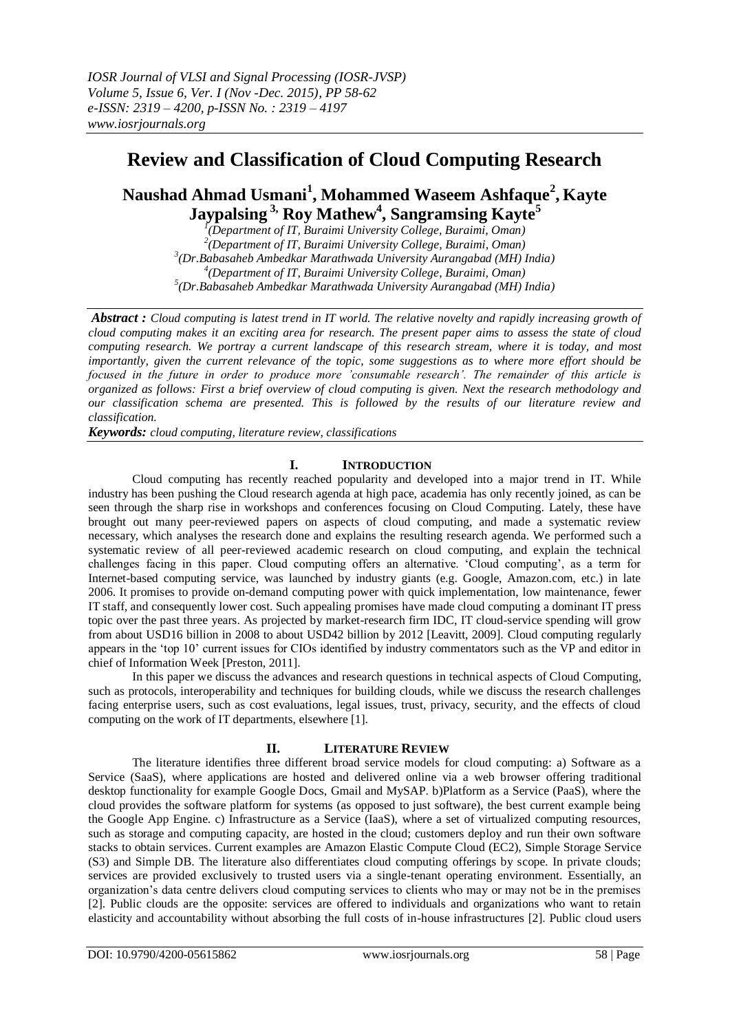# **Review and Classification of Cloud Computing Research**

## **Naushad Ahmad Usmani<sup>1</sup> , Mohammed Waseem Ashfaque<sup>2</sup> , Kayte Jaypalsing 3, Roy Mathew<sup>4</sup> , Sangramsing Kayte<sup>5</sup>**

 *(Department of IT, Buraimi University College, Buraimi, Oman) (Department of IT, Buraimi University College, Buraimi, Oman) (Dr.Babasaheb Ambedkar Marathwada University Aurangabad (MH) India) (Department of IT, Buraimi University College, Buraimi, Oman) (Dr.Babasaheb Ambedkar Marathwada University Aurangabad (MH) India)*

*Abstract : Cloud computing is latest trend in IT world. The relative novelty and rapidly increasing growth of cloud computing makes it an exciting area for research. The present paper aims to assess the state of cloud computing research. We portray a current landscape of this research stream, where it is today, and most importantly, given the current relevance of the topic, some suggestions as to where more effort should be focused in the future in order to produce more 'consumable research'. The remainder of this article is organized as follows: First a brief overview of cloud computing is given. Next the research methodology and our classification schema are presented. This is followed by the results of our literature review and classification.*

*Keywords: cloud computing, literature review, classifications*

## **I. INTRODUCTION**

Cloud computing has recently reached popularity and developed into a major trend in IT. While industry has been pushing the Cloud research agenda at high pace, academia has only recently joined, as can be seen through the sharp rise in workshops and conferences focusing on Cloud Computing. Lately, these have brought out many peer-reviewed papers on aspects of cloud computing, and made a systematic review necessary, which analyses the research done and explains the resulting research agenda. We performed such a systematic review of all peer-reviewed academic research on cloud computing, and explain the technical challenges facing in this paper. Cloud computing offers an alternative. "Cloud computing", as a term for Internet-based computing service, was launched by industry giants (e.g. Google, Amazon.com, etc.) in late 2006. It promises to provide on-demand computing power with quick implementation, low maintenance, fewer IT staff, and consequently lower cost. Such appealing promises have made cloud computing a dominant IT press topic over the past three years. As projected by market-research firm IDC, IT cloud-service spending will grow from about USD16 billion in 2008 to about USD42 billion by 2012 [Leavitt, 2009]. Cloud computing regularly appears in the "top 10" current issues for CIOs identified by industry commentators such as the VP and editor in chief of Information Week [Preston, 2011].

In this paper we discuss the advances and research questions in technical aspects of Cloud Computing, such as protocols, interoperability and techniques for building clouds, while we discuss the research challenges facing enterprise users, such as cost evaluations, legal issues, trust, privacy, security, and the effects of cloud computing on the work of IT departments, elsewhere [1].

### **II. LITERATURE REVIEW**

The literature identifies three different broad service models for cloud computing: a) Software as a Service (SaaS), where applications are hosted and delivered online via a web browser offering traditional desktop functionality for example Google Docs, Gmail and MySAP. b)Platform as a Service (PaaS), where the cloud provides the software platform for systems (as opposed to just software), the best current example being the Google App Engine. c) Infrastructure as a Service (IaaS), where a set of virtualized computing resources, such as storage and computing capacity, are hosted in the cloud; customers deploy and run their own software stacks to obtain services. Current examples are Amazon Elastic Compute Cloud (EC2), Simple Storage Service (S3) and Simple DB. The literature also differentiates cloud computing offerings by scope. In private clouds; services are provided exclusively to trusted users via a single-tenant operating environment. Essentially, an organization"s data centre delivers cloud computing services to clients who may or may not be in the premises [2]. Public clouds are the opposite: services are offered to individuals and organizations who want to retain elasticity and accountability without absorbing the full costs of in-house infrastructures [2]. Public cloud users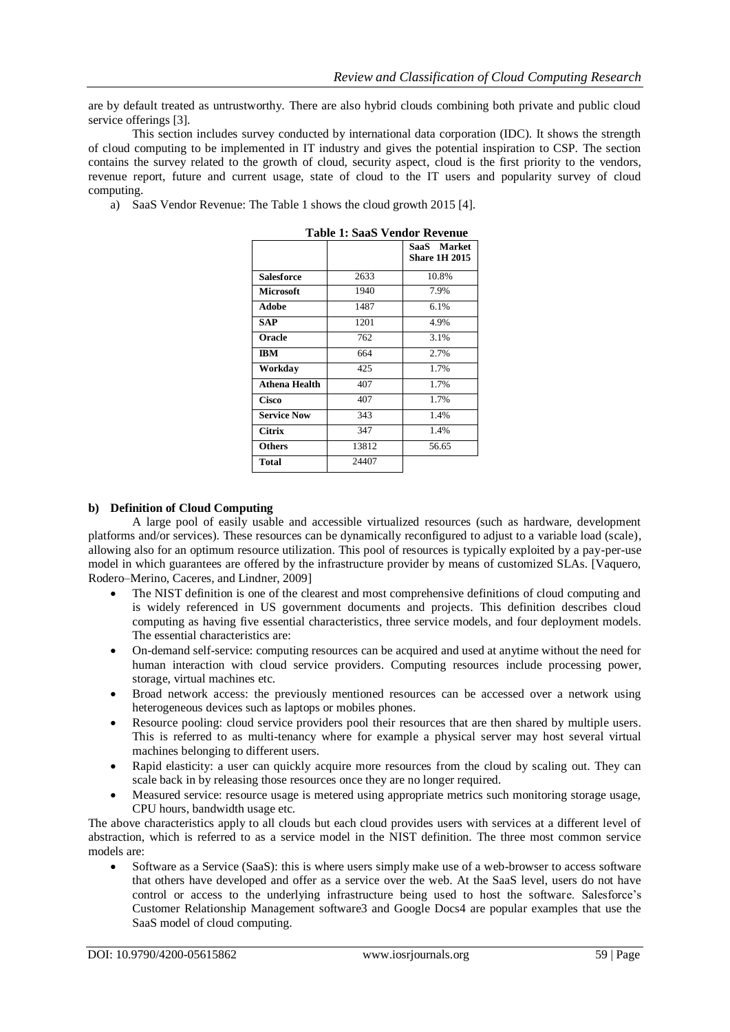are by default treated as untrustworthy. There are also hybrid clouds combining both private and public cloud service offerings [3].

This section includes survey conducted by international data corporation (IDC). It shows the strength of cloud computing to be implemented in IT industry and gives the potential inspiration to CSP. The section contains the survey related to the growth of cloud, security aspect, cloud is the first priority to the vendors, revenue report, future and current usage, state of cloud to the IT users and popularity survey of cloud computing.

a) SaaS Vendor Revenue: The Table 1 shows the cloud growth 2015 [4].

| таріс т. бааб з спибі техспис |       |                                     |
|-------------------------------|-------|-------------------------------------|
|                               |       | SaaS Market<br><b>Share 1H 2015</b> |
| <b>Salesforce</b>             | 2633  | 10.8%                               |
| <b>Microsoft</b>              | 1940  | 7.9%                                |
| <b>Adobe</b>                  | 1487  | 6.1%                                |
| SAP                           | 1201  | 4.9%                                |
| Oracle                        | 762   | 3.1%                                |
| <b>IBM</b>                    | 664   | 2.7%                                |
| Workdav                       | 425   | 1.7%                                |
| <b>Athena Health</b>          | 407   | 1.7%                                |
| Cisco                         | 407   | 1.7%                                |
| <b>Service Now</b>            | 343   | 1.4%                                |
| <b>Citrix</b>                 | 347   | 1.4%                                |
| <b>Others</b>                 | 13812 | 56.65                               |
| Total                         | 24407 |                                     |

|  | Table 1: SaaS Vendor Revenue |
|--|------------------------------|
|--|------------------------------|

### **b) Definition of Cloud Computing**

A large pool of easily usable and accessible virtualized resources (such as hardware, development platforms and/or services). These resources can be dynamically reconfigured to adjust to a variable load (scale), allowing also for an optimum resource utilization. This pool of resources is typically exploited by a pay-per-use model in which guarantees are offered by the infrastructure provider by means of customized SLAs. [Vaquero, Rodero–Merino, Caceres, and Lindner, 2009]

- The NIST definition is one of the clearest and most comprehensive definitions of cloud computing and is widely referenced in US government documents and projects. This definition describes cloud computing as having five essential characteristics, three service models, and four deployment models. The essential characteristics are:
- On-demand self-service: computing resources can be acquired and used at anytime without the need for human interaction with cloud service providers. Computing resources include processing power, storage, virtual machines etc.
- Broad network access: the previously mentioned resources can be accessed over a network using heterogeneous devices such as laptops or mobiles phones.
- Resource pooling: cloud service providers pool their resources that are then shared by multiple users. This is referred to as multi-tenancy where for example a physical server may host several virtual machines belonging to different users.
- Rapid elasticity: a user can quickly acquire more resources from the cloud by scaling out. They can scale back in by releasing those resources once they are no longer required.
- Measured service: resource usage is metered using appropriate metrics such monitoring storage usage, CPU hours, bandwidth usage etc.

The above characteristics apply to all clouds but each cloud provides users with services at a different level of abstraction, which is referred to as a service model in the NIST definition. The three most common service models are:

 Software as a Service (SaaS): this is where users simply make use of a web-browser to access software that others have developed and offer as a service over the web. At the SaaS level, users do not have control or access to the underlying infrastructure being used to host the software. Salesforce's Customer Relationship Management software3 and Google Docs4 are popular examples that use the SaaS model of cloud computing.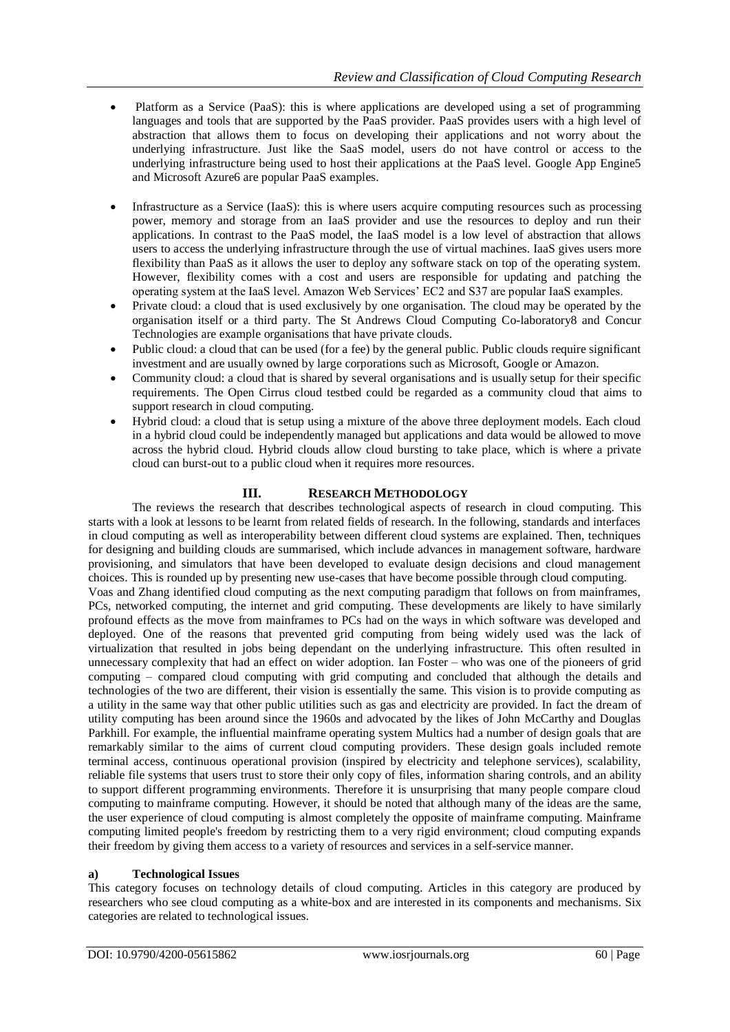- Platform as a Service (PaaS): this is where applications are developed using a set of programming languages and tools that are supported by the PaaS provider. PaaS provides users with a high level of abstraction that allows them to focus on developing their applications and not worry about the underlying infrastructure. Just like the SaaS model, users do not have control or access to the underlying infrastructure being used to host their applications at the PaaS level. Google App Engine5 and Microsoft Azure6 are popular PaaS examples.
- Infrastructure as a Service (IaaS): this is where users acquire computing resources such as processing power, memory and storage from an IaaS provider and use the resources to deploy and run their applications. In contrast to the PaaS model, the IaaS model is a low level of abstraction that allows users to access the underlying infrastructure through the use of virtual machines. IaaS gives users more flexibility than PaaS as it allows the user to deploy any software stack on top of the operating system. However, flexibility comes with a cost and users are responsible for updating and patching the operating system at the IaaS level. Amazon Web Services" EC2 and S37 are popular IaaS examples.
- Private cloud: a cloud that is used exclusively by one organisation. The cloud may be operated by the organisation itself or a third party. The St Andrews Cloud Computing Co-laboratory8 and Concur Technologies are example organisations that have private clouds.
- Public cloud: a cloud that can be used (for a fee) by the general public. Public clouds require significant investment and are usually owned by large corporations such as Microsoft, Google or Amazon.
- Community cloud: a cloud that is shared by several organisations and is usually setup for their specific requirements. The Open Cirrus cloud testbed could be regarded as a community cloud that aims to support research in cloud computing.
- Hybrid cloud: a cloud that is setup using a mixture of the above three deployment models. Each cloud in a hybrid cloud could be independently managed but applications and data would be allowed to move across the hybrid cloud. Hybrid clouds allow cloud bursting to take place, which is where a private cloud can burst-out to a public cloud when it requires more resources.

### **III. RESEARCH METHODOLOGY**

The reviews the research that describes technological aspects of research in cloud computing. This starts with a look at lessons to be learnt from related fields of research. In the following, standards and interfaces in cloud computing as well as interoperability between different cloud systems are explained. Then, techniques for designing and building clouds are summarised, which include advances in management software, hardware provisioning, and simulators that have been developed to evaluate design decisions and cloud management choices. This is rounded up by presenting new use-cases that have become possible through cloud computing.

Voas and Zhang identified cloud computing as the next computing paradigm that follows on from mainframes, PCs, networked computing, the internet and grid computing. These developments are likely to have similarly profound effects as the move from mainframes to PCs had on the ways in which software was developed and deployed. One of the reasons that prevented grid computing from being widely used was the lack of virtualization that resulted in jobs being dependant on the underlying infrastructure. This often resulted in unnecessary complexity that had an effect on wider adoption. Ian Foster – who was one of the pioneers of grid computing – compared cloud computing with grid computing and concluded that although the details and technologies of the two are different, their vision is essentially the same. This vision is to provide computing as a utility in the same way that other public utilities such as gas and electricity are provided. In fact the dream of utility computing has been around since the 1960s and advocated by the likes of John McCarthy and Douglas Parkhill. For example, the influential mainframe operating system Multics had a number of design goals that are remarkably similar to the aims of current cloud computing providers. These design goals included remote terminal access, continuous operational provision (inspired by electricity and telephone services), scalability, reliable file systems that users trust to store their only copy of files, information sharing controls, and an ability to support different programming environments. Therefore it is unsurprising that many people compare cloud computing to mainframe computing. However, it should be noted that although many of the ideas are the same, the user experience of cloud computing is almost completely the opposite of mainframe computing. Mainframe computing limited people's freedom by restricting them to a very rigid environment; cloud computing expands their freedom by giving them access to a variety of resources and services in a self-service manner.

### **a) Technological Issues**

This category focuses on technology details of cloud computing. Articles in this category are produced by researchers who see cloud computing as a white-box and are interested in its components and mechanisms. Six categories are related to technological issues.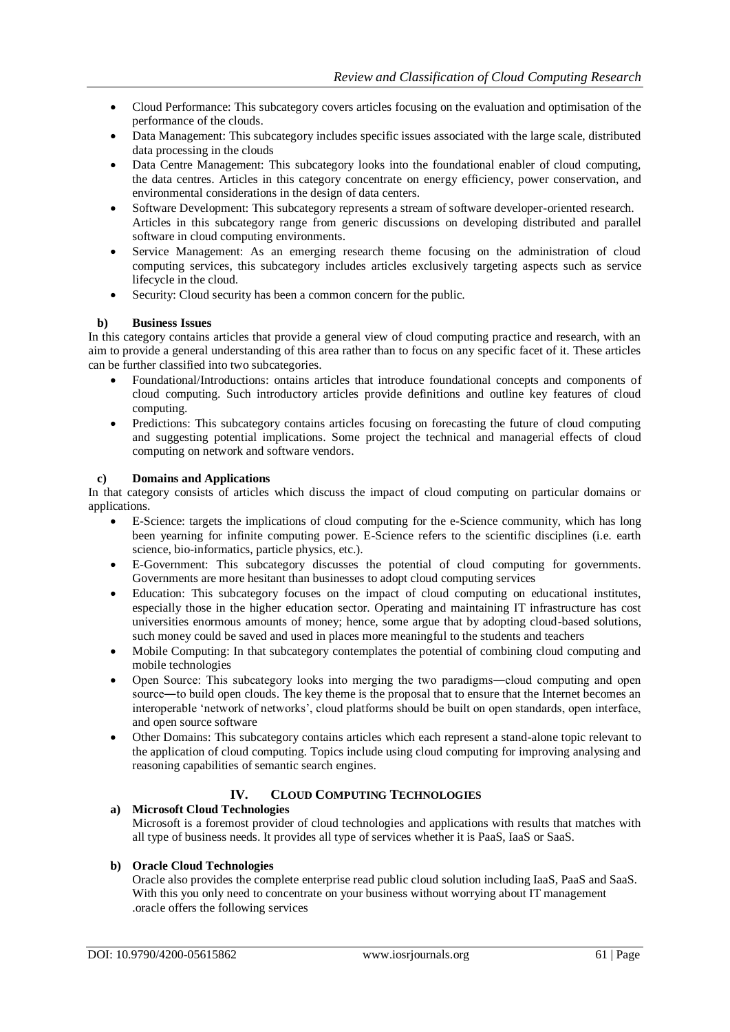- Cloud Performance: This subcategory covers articles focusing on the evaluation and optimisation of the performance of the clouds.
- Data Management: This subcategory includes specific issues associated with the large scale, distributed data processing in the clouds
- Data Centre Management: This subcategory looks into the foundational enabler of cloud computing, the data centres. Articles in this category concentrate on energy efficiency, power conservation, and environmental considerations in the design of data centers.
- Software Development: This subcategory represents a stream of software developer-oriented research. Articles in this subcategory range from generic discussions on developing distributed and parallel software in cloud computing environments.
- Service Management: As an emerging research theme focusing on the administration of cloud computing services, this subcategory includes articles exclusively targeting aspects such as service lifecycle in the cloud.
- Security: Cloud security has been a common concern for the public.

#### **b) Business Issues**

In this category contains articles that provide a general view of cloud computing practice and research, with an aim to provide a general understanding of this area rather than to focus on any specific facet of it. These articles can be further classified into two subcategories.

- Foundational/Introductions: ontains articles that introduce foundational concepts and components of cloud computing. Such introductory articles provide definitions and outline key features of cloud computing.
- Predictions: This subcategory contains articles focusing on forecasting the future of cloud computing and suggesting potential implications. Some project the technical and managerial effects of cloud computing on network and software vendors.

#### **c) Domains and Applications**

In that category consists of articles which discuss the impact of cloud computing on particular domains or applications.

- E-Science: targets the implications of cloud computing for the e-Science community, which has long been yearning for infinite computing power. E-Science refers to the scientific disciplines (i.e. earth science, bio-informatics, particle physics, etc.).
- E-Government: This subcategory discusses the potential of cloud computing for governments. Governments are more hesitant than businesses to adopt cloud computing services
- Education: This subcategory focuses on the impact of cloud computing on educational institutes, especially those in the higher education sector. Operating and maintaining IT infrastructure has cost universities enormous amounts of money; hence, some argue that by adopting cloud-based solutions, such money could be saved and used in places more meaningful to the students and teachers
- Mobile Computing: In that subcategory contemplates the potential of combining cloud computing and mobile technologies
- Open Source: This subcategory looks into merging the two paradigms―cloud computing and open source—to build open clouds. The key theme is the proposal that to ensure that the Internet becomes an interoperable "network of networks", cloud platforms should be built on open standards, open interface, and open source software
- Other Domains: This subcategory contains articles which each represent a stand-alone topic relevant to the application of cloud computing. Topics include using cloud computing for improving analysing and reasoning capabilities of semantic search engines.

## **IV. CLOUD COMPUTING TECHNOLOGIES**

**a) Microsoft Cloud Technologies**

Microsoft is a foremost provider of cloud technologies and applications with results that matches with all type of business needs. It provides all type of services whether it is PaaS, IaaS or SaaS.

### **b) Oracle Cloud Technologies**

Oracle also provides the complete enterprise read public cloud solution including IaaS, PaaS and SaaS. With this you only need to concentrate on your business without worrying about IT management .oracle offers the following services